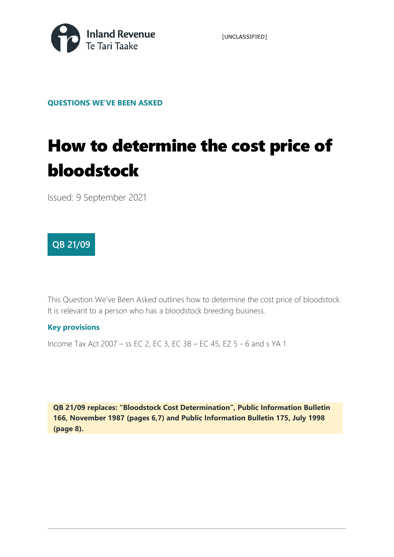

[UNCLASSIFIED]

**QUESTIONS WE'VE BEEN ASKED** 

# How to determine the cost price of bloodstock

Issued: 9 September 2021

# **QB 21/09**

This Question We've Been Asked outlines how to determine the cost price of bloodstock. It is relevant to a person who has a bloodstock breeding business.

### **Key provisions**

Income Tax Act 2007 – ss EC 2, EC 3, EC 38 – EC 45, EZ 5 - 6 and s YA 1

**QB 21/09 replaces: "Bloodstock Cost Determination", Public Information Bulletin 166, November 1987 (pages 6,7) and Public Information Bulletin 175, July 1998 (page 8).**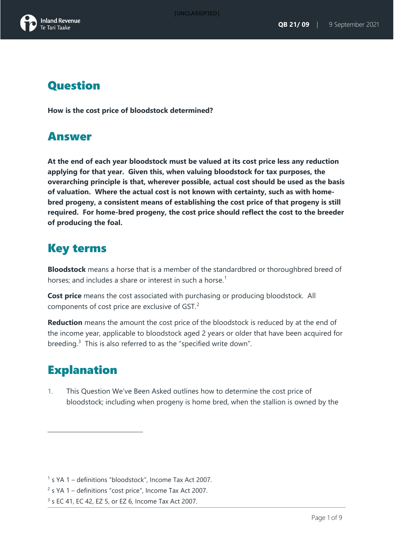# **Question**

**How is the cost price of bloodstock determined?**

# Answer

**At the end of each year bloodstock must be valued at its cost price less any reduction applying for that year. Given this, when valuing bloodstock for tax purposes, the overarching principle is that, wherever possible, actual cost should be used as the basis of valuation. Where the actual cost is not known with certainty, such as with homebred progeny, a consistent means of establishing the cost price of that progeny is still required. For home-bred progeny, the cost price should reflect the cost to the breeder of producing the foal.**

# Key terms

**Bloodstock** means a horse that is a member of the standardbred or thoroughbred breed of horses; and includes a share or interest in such a horse.<sup>[1](#page-1-0)</sup>

**Cost price** means the cost associated with purchasing or producing bloodstock. All components of cost price are exclusive of GST.[2](#page-1-1)

**Reduction** means the amount the cost price of the bloodstock is reduced by at the end of the income year, applicable to bloodstock aged 2 years or older that have been acquired for breeding.<sup>[3](#page-1-2)</sup> This is also referred to as the "specified write down".

# **Explanation**

1. This Question We've Been Asked outlines how to determine the cost price of bloodstock; including when progeny is home bred, when the stallion is owned by the

<span id="page-1-0"></span> $<sup>1</sup>$  s YA 1 – definitions "bloodstock", Income Tax Act 2007.</sup>

<span id="page-1-1"></span><sup>&</sup>lt;sup>2</sup> s YA 1 – definitions "cost price", Income Tax Act 2007.

<span id="page-1-2"></span> $3$  s EC 41, EC 42, EZ 5, or EZ 6, Income Tax Act 2007.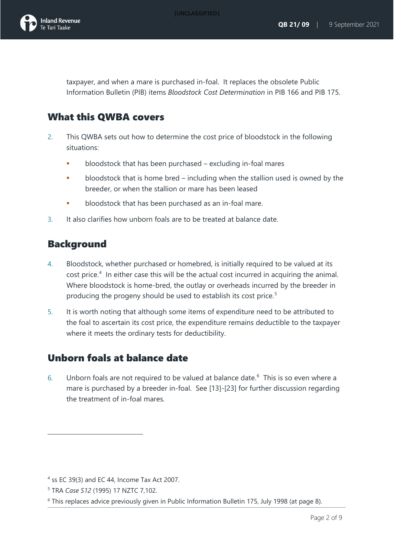

taxpayer, and when a mare is purchased in-foal. It replaces the obsolete Public Information Bulletin (PIB) items *Bloodstock Cost Determination* in PIB 166 and PIB 175.

# What this QWBA covers

- 2. This QWBA sets out how to determine the cost price of bloodstock in the following situations:
	- bloodstock that has been purchased excluding in-foal mares
	- **bloodstock that is home bred including when the stallion used is owned by the** breeder, or when the stallion or mare has been leased
	- bloodstock that has been purchased as an in-foal mare.
- 3. It also clarifies how unborn foals are to be treated at balance date.

# Background

- 4. Bloodstock, whether purchased or homebred, is initially required to be valued at its cost price.<sup>[4](#page-2-0)</sup> In either case this will be the actual cost incurred in acquiring the animal. Where bloodstock is home-bred, the outlay or overheads incurred by the breeder in producing the progeny should be used to establish its cost price. [5](#page-2-1)
- 5. It is worth noting that although some items of expenditure need to be attributed to the foal to ascertain its cost price, the expenditure remains deductible to the taxpayer where it meets the ordinary tests for deductibility.

# Unborn foals at balance date

[6](#page-2-2). Unborn foals are not required to be valued at balance date.<sup>6</sup> This is so even where a mare is purchased by a breeder in-foal. See [13]-[23] for further discussion regarding the treatment of in-foal mares.

<span id="page-2-0"></span><sup>4</sup> ss EC 39(3) and EC 44, Income Tax Act 2007.

<span id="page-2-1"></span><sup>5</sup> TRA *Case S12* (1995) 17 NZTC 7,102.

<span id="page-2-2"></span> $6$  This replaces advice previously given in Public Information Bulletin 175, July 1998 (at page 8).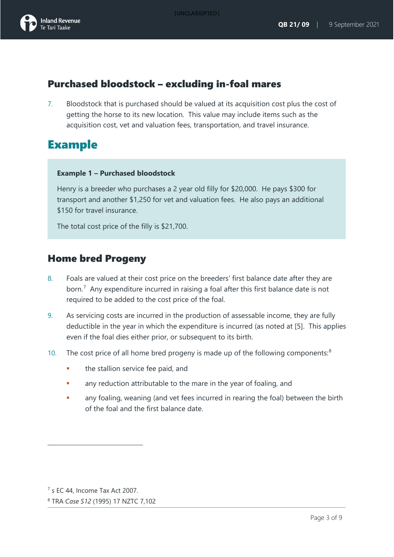

# Purchased bloodstock – excluding in-foal mares

7. Bloodstock that is purchased should be valued at its acquisition cost plus the cost of getting the horse to its new location. This value may include items such as the acquisition cost, vet and valuation fees, transportation, and travel insurance.

# Example

#### **Example 1 – Purchased bloodstock**

Henry is a breeder who purchases a 2 year old filly for \$20,000. He pays \$300 for transport and another \$1,250 for vet and valuation fees. He also pays an additional \$150 for travel insurance.

The total cost price of the filly is \$21,700.

### Home bred Progeny

- 8. Foals are valued at their cost price on the breeders' first balance date after they are born.<sup>[7](#page-3-0)</sup> Any expenditure incurred in raising a foal after this first balance date is not required to be added to the cost price of the foal.
- 9. As servicing costs are incurred in the production of assessable income, they are fully deductible in the year in which the expenditure is incurred (as noted at [5]. This applies even if the foal dies either prior, or subsequent to its birth.
- 10. The cost price of all home bred progeny is made up of the following components:<sup>[8](#page-3-1)</sup>
	- **the stallion service fee paid, and**
	- **•** any reduction attributable to the mare in the year of foaling, and
	- **•** any foaling, weaning (and vet fees incurred in rearing the foal) between the birth of the foal and the first balance date.

<span id="page-3-0"></span> $<sup>7</sup>$  s EC 44, Income Tax Act 2007.</sup>

<span id="page-3-1"></span><sup>8</sup> TRA *Case S12* (1995) 17 NZTC 7,102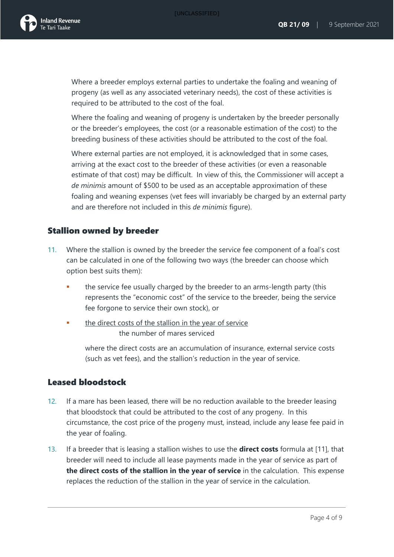

Where a breeder employs external parties to undertake the foaling and weaning of progeny (as well as any associated veterinary needs), the cost of these activities is required to be attributed to the cost of the foal.

Where the foaling and weaning of progeny is undertaken by the breeder personally or the breeder's employees, the cost (or a reasonable estimation of the cost) to the breeding business of these activities should be attributed to the cost of the foal.

Where external parties are not employed, it is acknowledged that in some cases, arriving at the exact cost to the breeder of these activities (or even a reasonable estimate of that cost) may be difficult. In view of this, the Commissioner will accept a *de minimis* amount of \$500 to be used as an acceptable approximation of these foaling and weaning expenses (vet fees will invariably be charged by an external party and are therefore not included in this *de minimis* figure).

### Stallion owned by breeder

- 11. Where the stallion is owned by the breeder the service fee component of a foal's cost can be calculated in one of the following two ways (the breeder can choose which option best suits them):
	- the service fee usually charged by the breeder to an arms-length party (this represents the "economic cost" of the service to the breeder, being the service fee forgone to service their own stock), or
	- the direct costs of the stallion in the year of service the number of mares serviced

where the direct costs are an accumulation of insurance, external service costs (such as vet fees), and the stallion's reduction in the year of service.

### Leased bloodstock

- 12. If a mare has been leased, there will be no reduction available to the breeder leasing that bloodstock that could be attributed to the cost of any progeny. In this circumstance, the cost price of the progeny must, instead, include any lease fee paid in the year of foaling.
- 13. If a breeder that is leasing a stallion wishes to use the **direct costs** formula at [11], that breeder will need to include all lease payments made in the year of service as part of **the direct costs of the stallion in the year of service** in the calculation. This expense replaces the reduction of the stallion in the year of service in the calculation.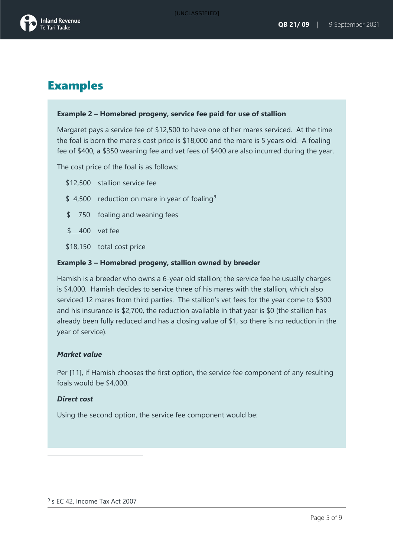

# Examples

#### **Example 2 – Homebred progeny, service fee paid for use of stallion**

Margaret pays a service fee of \$12,500 to have one of her mares serviced. At the time the foal is born the mare's cost price is \$18,000 and the mare is 5 years old. A foaling fee of \$400, a \$350 weaning fee and vet fees of \$400 are also incurred during the year.

The cost price of the foal is as follows:

- \$12,500 stallion service fee
- \$4,500 reduction on mare in year of foaling<sup>[9](#page-5-0)</sup>
- \$ 750 foaling and weaning fees
- \$ 400 vet fee
- \$18,150 total cost price

#### **Example 3 – Homebred progeny, stallion owned by breeder**

Hamish is a breeder who owns a 6-year old stallion; the service fee he usually charges is \$4,000. Hamish decides to service three of his mares with the stallion, which also serviced 12 mares from third parties. The stallion's vet fees for the year come to \$300 and his insurance is \$2,700, the reduction available in that year is \$0 (the stallion has already been fully reduced and has a closing value of \$1, so there is no reduction in the year of service).

#### *Market value*

Per [11], if Hamish chooses the first option, the service fee component of any resulting foals would be \$4,000.

#### *Direct cost*

<span id="page-5-0"></span>Using the second option, the service fee component would be: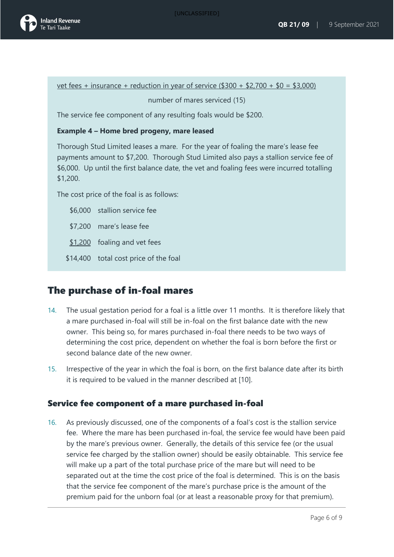

<u>vet fees + insurance + reduction in year of service  $(\$300 + \$2,700 + \$0 = \$3,000)$ </u>

number of mares serviced (15)

The service fee component of any resulting foals would be \$200.

#### **Example 4 – Home bred progeny, mare leased**

Thorough Stud Limited leases a mare. For the year of foaling the mare's lease fee payments amount to \$7,200. Thorough Stud Limited also pays a stallion service fee of \$6,000. Up until the first balance date, the vet and foaling fees were incurred totalling \$1,200.

The cost price of the foal is as follows:

\$6,000 stallion service fee

- \$7,200 mare's lease fee
- \$1,200 foaling and vet fees
- \$14,400 total cost price of the foal

### The purchase of in-foal mares

- 14. The usual gestation period for a foal is a little over 11 months. It is therefore likely that a mare purchased in-foal will still be in-foal on the first balance date with the new owner. This being so, for mares purchased in-foal there needs to be two ways of determining the cost price, dependent on whether the foal is born before the first or second balance date of the new owner.
- 15. Irrespective of the year in which the foal is born, on the first balance date after its birth it is required to be valued in the manner described at [10].

#### Service fee component of a mare purchased in-foal

16. As previously discussed, one of the components of a foal's cost is the stallion service fee. Where the mare has been purchased in-foal, the service fee would have been paid by the mare's previous owner. Generally, the details of this service fee (or the usual service fee charged by the stallion owner) should be easily obtainable. This service fee will make up a part of the total purchase price of the mare but will need to be separated out at the time the cost price of the foal is determined. This is on the basis that the service fee component of the mare's purchase price is the amount of the premium paid for the unborn foal (or at least a reasonable proxy for that premium).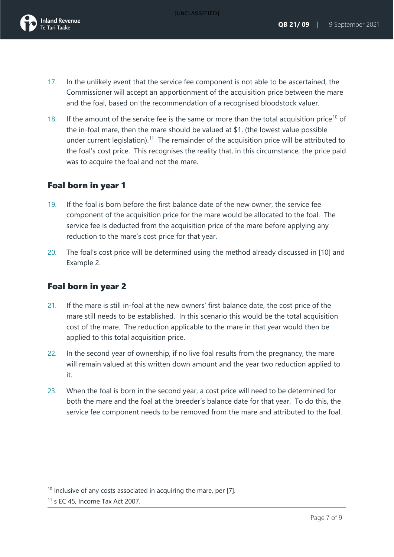[UNCLASSIFIED]



- 17. In the unlikely event that the service fee component is not able to be ascertained, the Commissioner will accept an apportionment of the acquisition price between the mare and the foal, based on the recommendation of a recognised bloodstock valuer.
- 18. If the amount of the service fee is the same or more than the total acquisition price<sup>[10](#page-7-0)</sup> of the in-foal mare, then the mare should be valued at \$1, (the lowest value possible under current legislation).<sup>11</sup> The remainder of the acquisition price will be attributed to the foal's cost price. This recognises the reality that, in this circumstance, the price paid was to acquire the foal and not the mare.

### Foal born in year 1

- 19. If the foal is born before the first balance date of the new owner, the service fee component of the acquisition price for the mare would be allocated to the foal. The service fee is deducted from the acquisition price of the mare before applying any reduction to the mare's cost price for that year.
- 20. The foal's cost price will be determined using the method already discussed in [10] and Example 2.

### Foal born in year 2

- 21. If the mare is still in-foal at the new owners' first balance date, the cost price of the mare still needs to be established. In this scenario this would be the total acquisition cost of the mare. The reduction applicable to the mare in that year would then be applied to this total acquisition price.
- 22. In the second year of ownership, if no live foal results from the pregnancy, the mare will remain valued at this written down amount and the year two reduction applied to it.
- 23. When the foal is born in the second year, a cost price will need to be determined for both the mare and the foal at the breeder's balance date for that year. To do this, the service fee component needs to be removed from the mare and attributed to the foal.

<span id="page-7-0"></span> $10$  Inclusive of any costs associated in acquiring the mare, per [7].

<span id="page-7-1"></span> $11$  s EC 45, Income Tax Act 2007.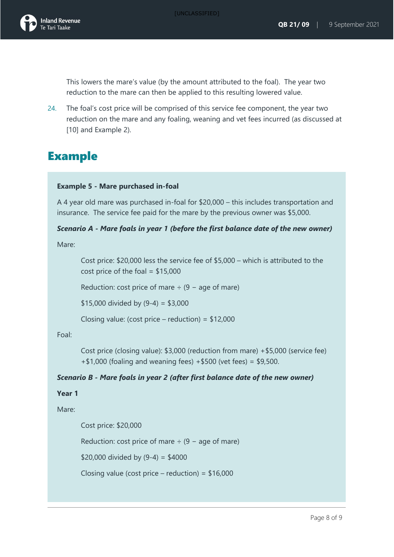

This lowers the mare's value (by the amount attributed to the foal). The year two reduction to the mare can then be applied to this resulting lowered value.

24. The foal's cost price will be comprised of this service fee component, the year two reduction on the mare and any foaling, weaning and vet fees incurred (as discussed at [10] and Example 2).

# Example

#### **Example 5 - Mare purchased in-foal**

A 4 year old mare was purchased in-foal for \$20,000 – this includes transportation and insurance. The service fee paid for the mare by the previous owner was \$5,000.

#### *Scenario A - Mare foals in year 1 (before the first balance date of the new owner)*

Mare:

Cost price: \$20,000 less the service fee of \$5,000 – which is attributed to the cost price of the foal =  $$15,000$ 

Reduction: cost price of mare  $\div$  (9 – age of mare)

 $$15,000$  divided by  $(9-4) = $3,000$ 

Closing value: (cost price – reduction) = \$12,000

Foal:

Cost price (closing value): \$3,000 (reduction from mare) +\$5,000 (service fee) +\$1,000 (foaling and weaning fees) +\$500 (vet fees) = \$9,500.

#### *Scenario B - Mare foals in year 2 (after first balance date of the new owner)*

**Year 1**

Mare:

Cost price: \$20,000

Reduction: cost price of mare  $\div$  (9 – age of mare)

\$20,000 divided by  $(9-4) = $4000$ 

Closing value (cost price – reduction) =  $$16,000$